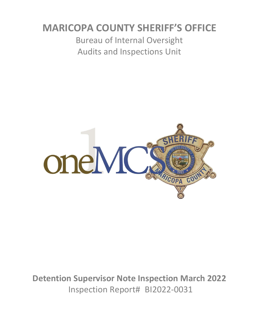# **MARICOPA COUNTY SHERIFF'S OFFICE**

Bureau of Internal Oversight Audits and Inspections Unit



**Detention Supervisor Note Inspection March 2022** Inspection Report# BI2022-0031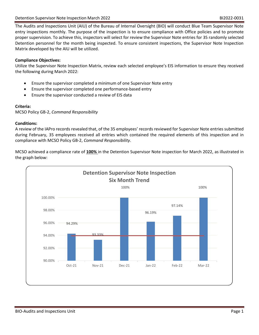The Audits and Inspections Unit (AIU) of the Bureau of Internal Oversight (BIO) will conduct Blue Team Supervisor Note entry inspections monthly. The purpose of the inspection is to ensure compliance with Office policies and to promote proper supervision. To achieve this, inspectors will select for review the Supervisor Note entries for 35 randomly selected Detention personnel for the month being inspected. To ensure consistent inspections, the Supervisor Note Inspection Matrix developed by the AIU will be utilized.

## **Compliance Objectives:**

Utilize the Supervisor Note Inspection Matrix, review each selected employee's EIS information to ensure they received the following during March 2022:

- Ensure the supervisor completed a minimum of one Supervisor Note entry
- Ensure the supervisor completed one performance-based entry
- Ensure the supervisor conducted a review of EIS data

### **Criteria:**

MCSO Policy GB-2, *Command Responsibility*

### **Conditions:**

A review of the IAPro records revealed that, of the 35 employees' records reviewed for Supervisor Note entries submitted during February, 35 employees received all entries which contained the required elements of this inspection and in compliance with MCSO Policy GB-2, *Command Responsibility*.

MCSO achieved a compliance rate of **100%** in the Detention Supervisor Note inspection for March 2022, as illustrated in the graph below: